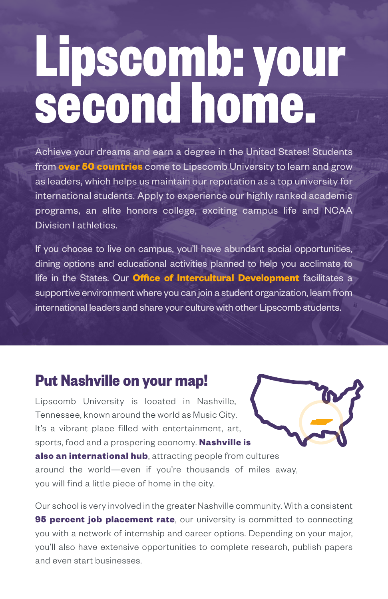# **Lipscomb: your second home.**

Achieve your dreams and earn a degree in the United States! Students from **over 50 countries** come to Lipscomb University to learn and grow as leaders, which helps us maintain our reputation as a top university for international students. Apply to experience our highly ranked academic programs, an elite honors college, exciting campus life and NCAA Division I athletics.

If you choose to live on campus, you'll have abundant social opportunities, dining options and educational activities planned to help you acclimate to life in the States. Our **Office of Intercultural Development** facilitates a supportive environment where you can join a student organization, learn from international leaders and share your culture with other Lipscomb students.

### **Put Nashville on your map!**

Lipscomb University is located in Nashville, Tennessee, known around the world as Music City. It's a vibrant place filled with entertainment, art, sports, food and a prospering economy. **Nashville is also an international hub**, attracting people from cultures around the world—even if you're thousands of miles away, you will find a little piece of home in the city.

Our school is very involved in the greater Nashville community. With a consistent **95 percent job placement rate**, our university is committed to connecting you with a network of internship and career options. Depending on your major, you'll also have extensive opportunities to complete research, publish papers and even start businesses.